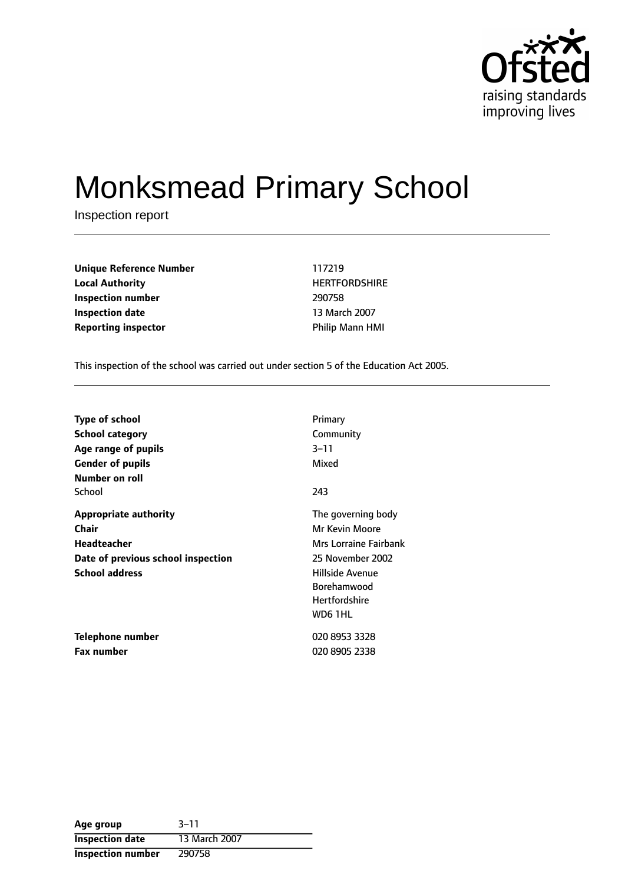

# Monksmead Primary School

Inspection report

**Unique Reference Number** 117219 **Local Authority HERTFORDSHIRE Inspection number** 290758 **Inspection date** 13 March 2007 **Reporting inspector CONSERVING MANUS** Philip Mann HMI

This inspection of the school was carried out under section 5 of the Education Act 2005.

| <b>Type of school</b>              | Primary               |
|------------------------------------|-----------------------|
| <b>School category</b>             | Community             |
| Age range of pupils                | 3–11                  |
| <b>Gender of pupils</b>            | Mixed                 |
| Number on roll                     |                       |
| School                             | 243                   |
| <b>Appropriate authority</b>       | The governing body    |
| Chair                              | Mr Kevin Moore        |
| <b>Headteacher</b>                 | Mrs Lorraine Fairbank |
| Date of previous school inspection | 25 November 2002      |
| <b>School address</b>              | Hillside Avenue       |
|                                    | <b>Borehamwood</b>    |
|                                    | <b>Hertfordshire</b>  |
|                                    | WD6 1HL               |
| <b>Telephone number</b>            | 020 8953 3328         |
| <b>Fax number</b>                  | 020 8905 2338         |

| Age group                | $3 - 11$      |
|--------------------------|---------------|
| <b>Inspection date</b>   | 13 March 2007 |
| <b>Inspection number</b> | 290758        |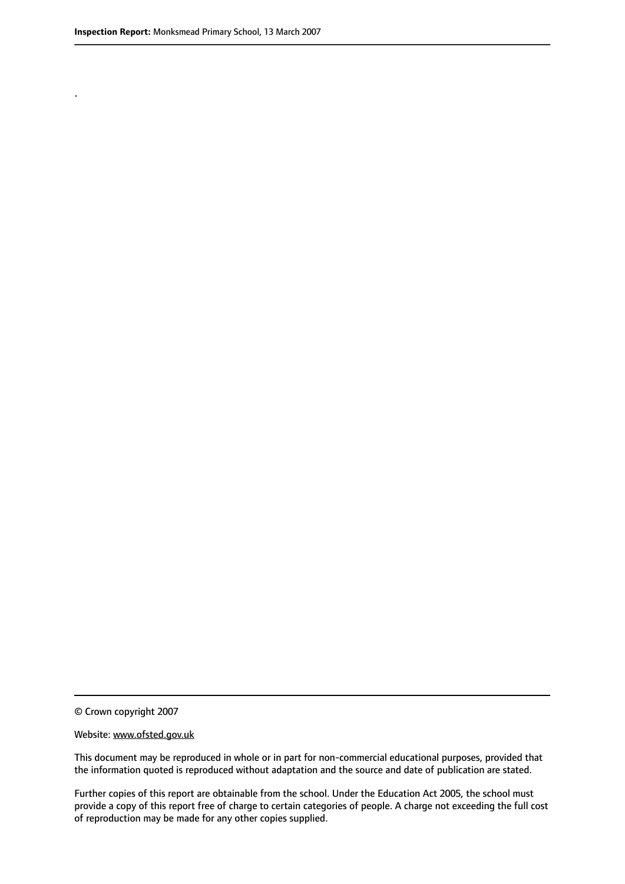.

© Crown copyright 2007

#### Website: www.ofsted.gov.uk

This document may be reproduced in whole or in part for non-commercial educational purposes, provided that the information quoted is reproduced without adaptation and the source and date of publication are stated.

Further copies of this report are obtainable from the school. Under the Education Act 2005, the school must provide a copy of this report free of charge to certain categories of people. A charge not exceeding the full cost of reproduction may be made for any other copies supplied.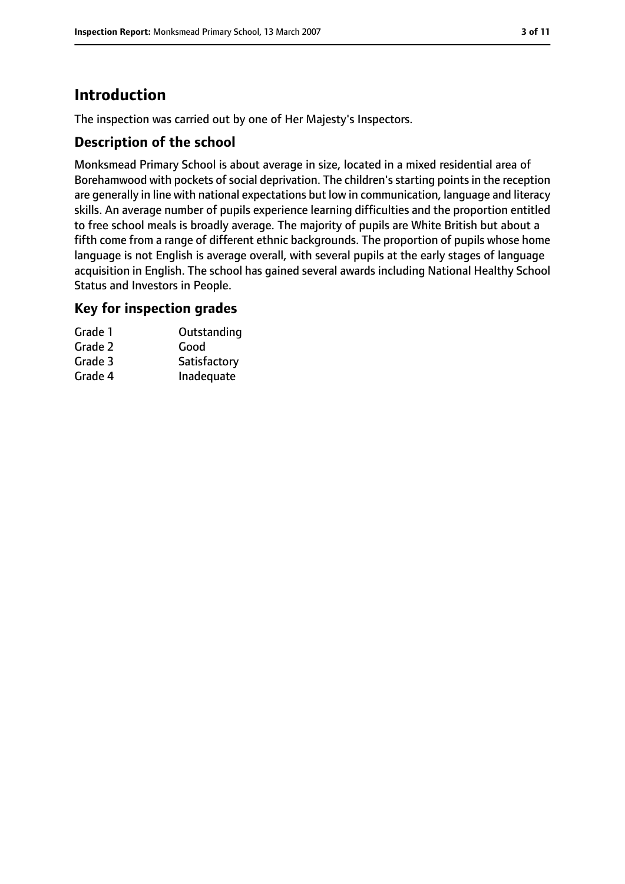# **Introduction**

The inspection was carried out by one of Her Majesty's Inspectors.

### **Description of the school**

Monksmead Primary School is about average in size, located in a mixed residential area of Borehamwood with pockets of social deprivation. The children's starting points in the reception are generally in line with national expectations but low in communication, language and literacy skills. An average number of pupils experience learning difficulties and the proportion entitled to free school meals is broadly average. The majority of pupils are White British but about a fifth come from a range of different ethnic backgrounds. The proportion of pupils whose home language is not English is average overall, with several pupils at the early stages of language acquisition in English. The school has gained several awards including National Healthy School Status and Investors in People.

### **Key for inspection grades**

| Outstanding  |
|--------------|
|              |
| Satisfactory |
| Inadequate   |
|              |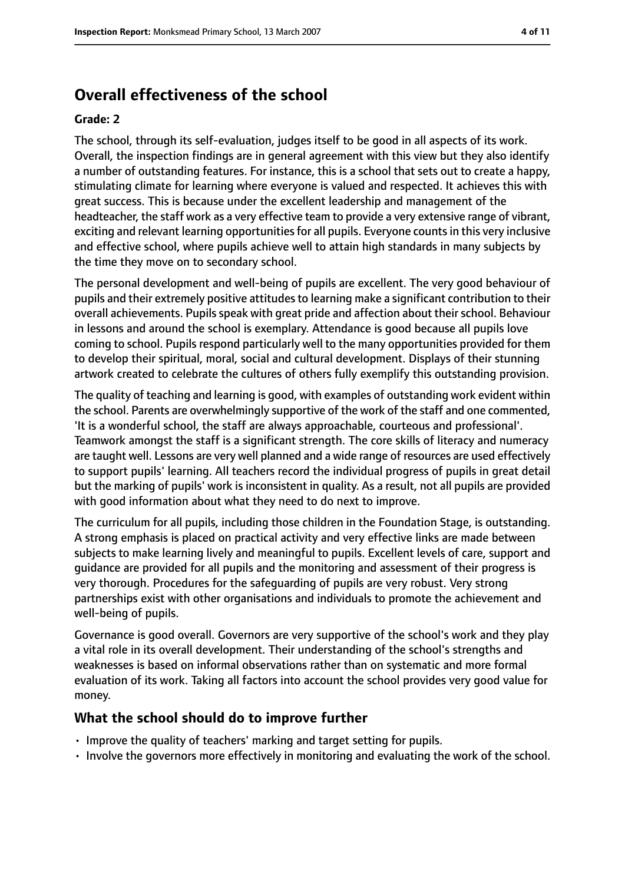# **Overall effectiveness of the school**

#### **Grade: 2**

The school, through its self-evaluation, judges itself to be good in all aspects of its work. Overall, the inspection findings are in general agreement with this view but they also identify a number of outstanding features. For instance, this is a school that sets out to create a happy, stimulating climate for learning where everyone is valued and respected. It achieves this with great success. This is because under the excellent leadership and management of the headteacher, the staff work as a very effective team to provide a very extensive range of vibrant, exciting and relevant learning opportunities for all pupils. Everyone counts in this very inclusive and effective school, where pupils achieve well to attain high standards in many subjects by the time they move on to secondary school.

The personal development and well-being of pupils are excellent. The very good behaviour of pupils and their extremely positive attitudes to learning make a significant contribution to their overall achievements. Pupils speak with great pride and affection about their school. Behaviour in lessons and around the school is exemplary. Attendance is good because all pupils love coming to school. Pupils respond particularly well to the many opportunities provided for them to develop their spiritual, moral, social and cultural development. Displays of their stunning artwork created to celebrate the cultures of others fully exemplify this outstanding provision.

The quality of teaching and learning is good, with examples of outstanding work evident within the school. Parents are overwhelmingly supportive of the work of the staff and one commented, 'It is a wonderful school, the staff are always approachable, courteous and professional'. Teamwork amongst the staff is a significant strength. The core skills of literacy and numeracy are taught well. Lessons are very well planned and a wide range of resources are used effectively to support pupils' learning. All teachers record the individual progress of pupils in great detail but the marking of pupils' work is inconsistent in quality. As a result, not all pupils are provided with good information about what they need to do next to improve.

The curriculum for all pupils, including those children in the Foundation Stage, is outstanding. A strong emphasis is placed on practical activity and very effective links are made between subjects to make learning lively and meaningful to pupils. Excellent levels of care, support and guidance are provided for all pupils and the monitoring and assessment of their progress is very thorough. Procedures for the safeguarding of pupils are very robust. Very strong partnerships exist with other organisations and individuals to promote the achievement and well-being of pupils.

Governance is good overall. Governors are very supportive of the school's work and they play a vital role in its overall development. Their understanding of the school's strengths and weaknesses is based on informal observations rather than on systematic and more formal evaluation of its work. Taking all factors into account the school provides very good value for money.

### **What the school should do to improve further**

- Improve the quality of teachers' marking and target setting for pupils.
- Involve the governors more effectively in monitoring and evaluating the work of the school.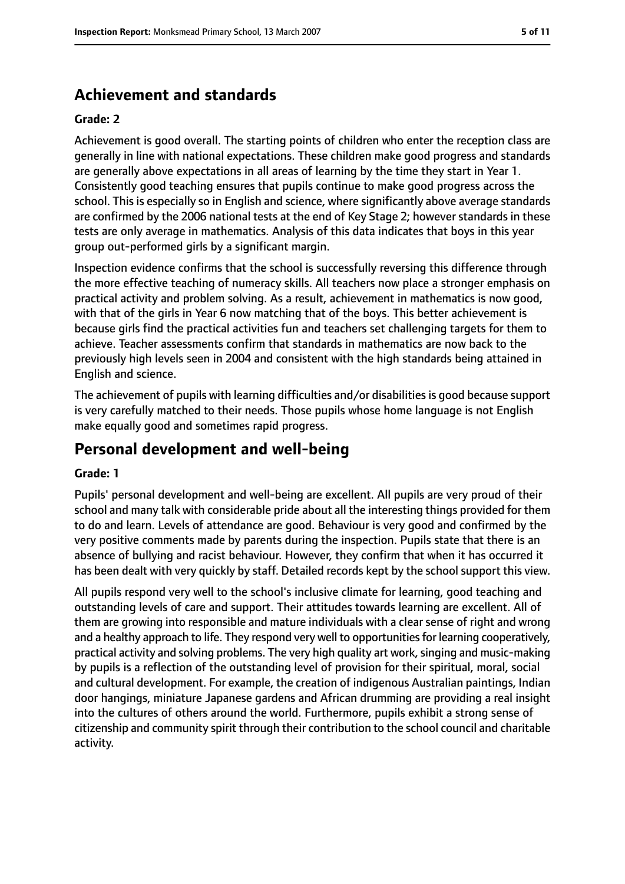# **Achievement and standards**

#### **Grade: 2**

Achievement is good overall. The starting points of children who enter the reception class are generally in line with national expectations. These children make good progress and standards are generally above expectations in all areas of learning by the time they start in Year 1. Consistently good teaching ensures that pupils continue to make good progress across the school. This is especially so in English and science, where significantly above average standards are confirmed by the 2006 national tests at the end of Key Stage 2; however standards in these tests are only average in mathematics. Analysis of this data indicates that boys in this year group out-performed girls by a significant margin.

Inspection evidence confirms that the school is successfully reversing this difference through the more effective teaching of numeracy skills. All teachers now place a stronger emphasis on practical activity and problem solving. As a result, achievement in mathematics is now good, with that of the girls in Year 6 now matching that of the boys. This better achievement is because girls find the practical activities fun and teachers set challenging targets for them to achieve. Teacher assessments confirm that standards in mathematics are now back to the previously high levels seen in 2004 and consistent with the high standards being attained in English and science.

The achievement of pupils with learning difficulties and/or disabilities is good because support is very carefully matched to their needs. Those pupils whose home language is not English make equally good and sometimes rapid progress.

## **Personal development and well-being**

#### **Grade: 1**

Pupils' personal development and well-being are excellent. All pupils are very proud of their school and many talk with considerable pride about all the interesting things provided for them to do and learn. Levels of attendance are good. Behaviour is very good and confirmed by the very positive comments made by parents during the inspection. Pupils state that there is an absence of bullying and racist behaviour. However, they confirm that when it has occurred it has been dealt with very quickly by staff. Detailed records kept by the school support this view.

All pupils respond very well to the school's inclusive climate for learning, good teaching and outstanding levels of care and support. Their attitudes towards learning are excellent. All of them are growing into responsible and mature individuals with a clear sense of right and wrong and a healthy approach to life. They respond very well to opportunities for learning cooperatively, practical activity and solving problems. The very high quality art work, singing and music-making by pupils is a reflection of the outstanding level of provision for their spiritual, moral, social and cultural development. For example, the creation of indigenous Australian paintings, Indian door hangings, miniature Japanese gardens and African drumming are providing a real insight into the cultures of others around the world. Furthermore, pupils exhibit a strong sense of citizenship and community spirit through their contribution to the school council and charitable activity.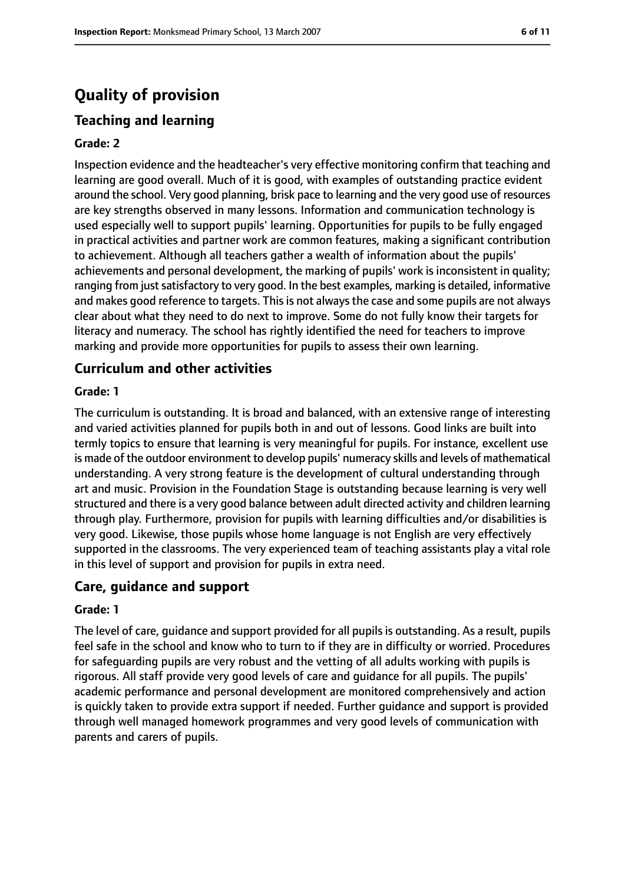# **Quality of provision**

## **Teaching and learning**

#### **Grade: 2**

Inspection evidence and the headteacher's very effective monitoring confirm that teaching and learning are good overall. Much of it is good, with examples of outstanding practice evident around the school. Very good planning, brisk pace to learning and the very good use of resources are key strengths observed in many lessons. Information and communication technology is used especially well to support pupils' learning. Opportunities for pupils to be fully engaged in practical activities and partner work are common features, making a significant contribution to achievement. Although all teachers gather a wealth of information about the pupils' achievements and personal development, the marking of pupils' work is inconsistent in quality; ranging from just satisfactory to very good. In the best examples, marking is detailed, informative and makes good reference to targets. This is not always the case and some pupils are not always clear about what they need to do next to improve. Some do not fully know their targets for literacy and numeracy. The school has rightly identified the need for teachers to improve marking and provide more opportunities for pupils to assess their own learning.

### **Curriculum and other activities**

#### **Grade: 1**

The curriculum is outstanding. It is broad and balanced, with an extensive range of interesting and varied activities planned for pupils both in and out of lessons. Good links are built into termly topics to ensure that learning is very meaningful for pupils. For instance, excellent use is made of the outdoor environment to develop pupils' numeracy skills and levels of mathematical understanding. A very strong feature is the development of cultural understanding through art and music. Provision in the Foundation Stage is outstanding because learning is very well structured and there is a very good balance between adult directed activity and children learning through play. Furthermore, provision for pupils with learning difficulties and/or disabilities is very good. Likewise, those pupils whose home language is not English are very effectively supported in the classrooms. The very experienced team of teaching assistants play a vital role in this level of support and provision for pupils in extra need.

### **Care, guidance and support**

#### **Grade: 1**

The level of care, guidance and support provided for all pupils is outstanding. As a result, pupils feel safe in the school and know who to turn to if they are in difficulty or worried. Procedures for safeguarding pupils are very robust and the vetting of all adults working with pupils is rigorous. All staff provide very good levels of care and guidance for all pupils. The pupils' academic performance and personal development are monitored comprehensively and action is quickly taken to provide extra support if needed. Further guidance and support is provided through well managed homework programmes and very good levels of communication with parents and carers of pupils.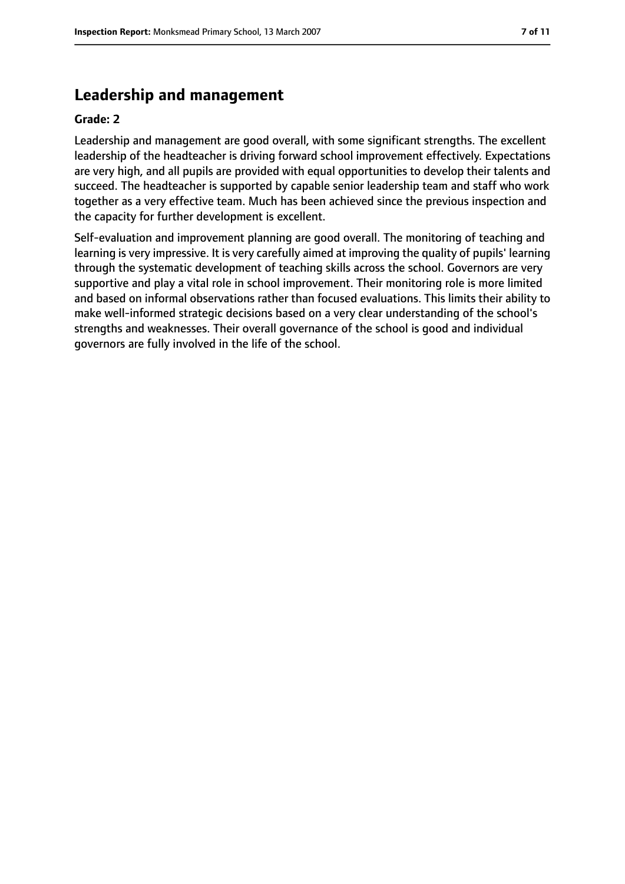## **Leadership and management**

#### **Grade: 2**

Leadership and management are good overall, with some significant strengths. The excellent leadership of the headteacher is driving forward school improvement effectively. Expectations are very high, and all pupils are provided with equal opportunities to develop their talents and succeed. The headteacher is supported by capable senior leadership team and staff who work together as a very effective team. Much has been achieved since the previous inspection and the capacity for further development is excellent.

Self-evaluation and improvement planning are good overall. The monitoring of teaching and learning is very impressive. It is very carefully aimed at improving the quality of pupils' learning through the systematic development of teaching skills across the school. Governors are very supportive and play a vital role in school improvement. Their monitoring role is more limited and based on informal observations rather than focused evaluations. This limits their ability to make well-informed strategic decisions based on a very clear understanding of the school's strengths and weaknesses. Their overall governance of the school is good and individual governors are fully involved in the life of the school.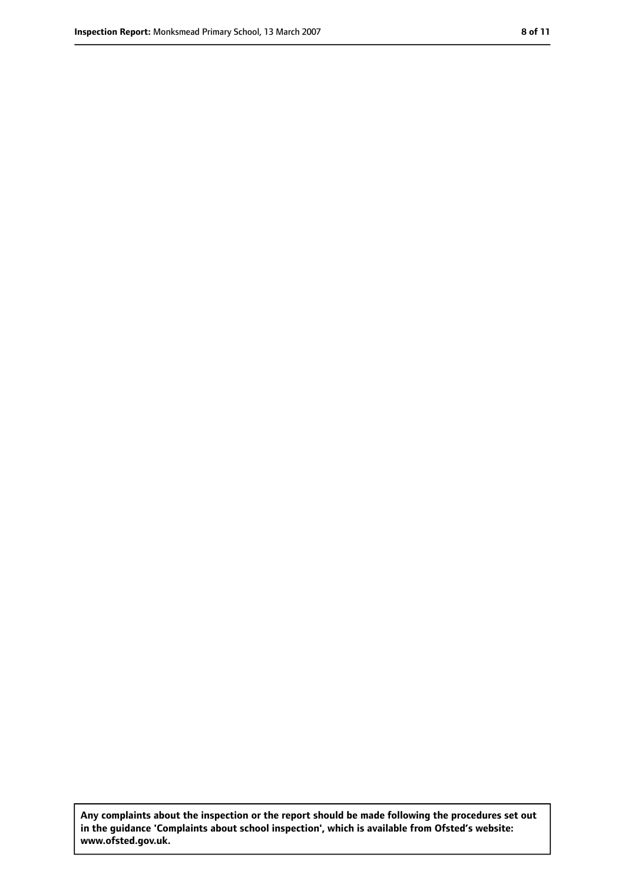**Any complaints about the inspection or the report should be made following the procedures set out in the guidance 'Complaints about school inspection', which is available from Ofsted's website: www.ofsted.gov.uk.**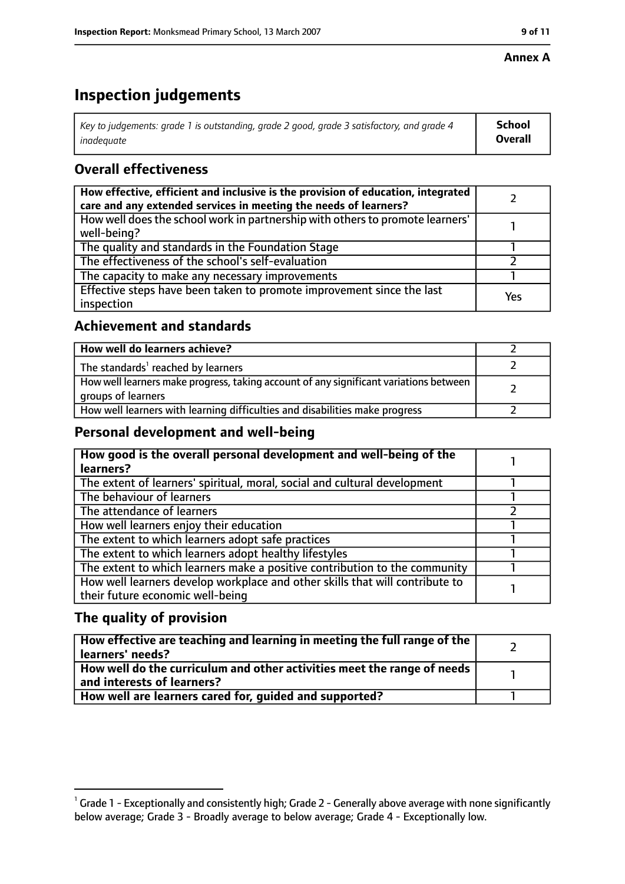#### **Annex A**

# **Inspection judgements**

| Key to judgements: grade 1 is outstanding, grade 2 good, grade 3 satisfactory, and grade 4 $\,$ | <b>School</b>  |
|-------------------------------------------------------------------------------------------------|----------------|
| inadequate                                                                                      | <b>Overall</b> |

## **Overall effectiveness**

| How effective, efficient and inclusive is the provision of education, integrated<br>care and any extended services in meeting the needs of learners? |     |
|------------------------------------------------------------------------------------------------------------------------------------------------------|-----|
| How well does the school work in partnership with others to promote learners'<br>well-being?                                                         |     |
| The quality and standards in the Foundation Stage                                                                                                    |     |
| The effectiveness of the school's self-evaluation                                                                                                    |     |
| The capacity to make any necessary improvements                                                                                                      |     |
| Effective steps have been taken to promote improvement since the last<br>inspection                                                                  | Yes |

## **Achievement and standards**

| How well do learners achieve?                                                                               |  |
|-------------------------------------------------------------------------------------------------------------|--|
| The standards <sup>1</sup> reached by learners                                                              |  |
| How well learners make progress, taking account of any significant variations between<br>groups of learners |  |
| How well learners with learning difficulties and disabilities make progress                                 |  |

## **Personal development and well-being**

| How good is the overall personal development and well-being of the<br>learners? |  |
|---------------------------------------------------------------------------------|--|
|                                                                                 |  |
| The extent of learners' spiritual, moral, social and cultural development       |  |
| The behaviour of learners                                                       |  |
| The attendance of learners                                                      |  |
| How well learners enjoy their education                                         |  |
| The extent to which learners adopt safe practices                               |  |
| The extent to which learners adopt healthy lifestyles                           |  |
| The extent to which learners make a positive contribution to the community      |  |
| How well learners develop workplace and other skills that will contribute to    |  |
| their future economic well-being                                                |  |

## **The quality of provision**

| $\mid$ How effective are teaching and learning in meeting the full range of the $\mid$<br>  learners' needs?               |  |
|----------------------------------------------------------------------------------------------------------------------------|--|
| $\mid$ How well do the curriculum and other activities meet the range of needs $\mid$<br>$\mid$ and interests of learners? |  |
| How well are learners cared for, quided and supported?                                                                     |  |

 $^1$  Grade 1 - Exceptionally and consistently high; Grade 2 - Generally above average with none significantly below average; Grade 3 - Broadly average to below average; Grade 4 - Exceptionally low.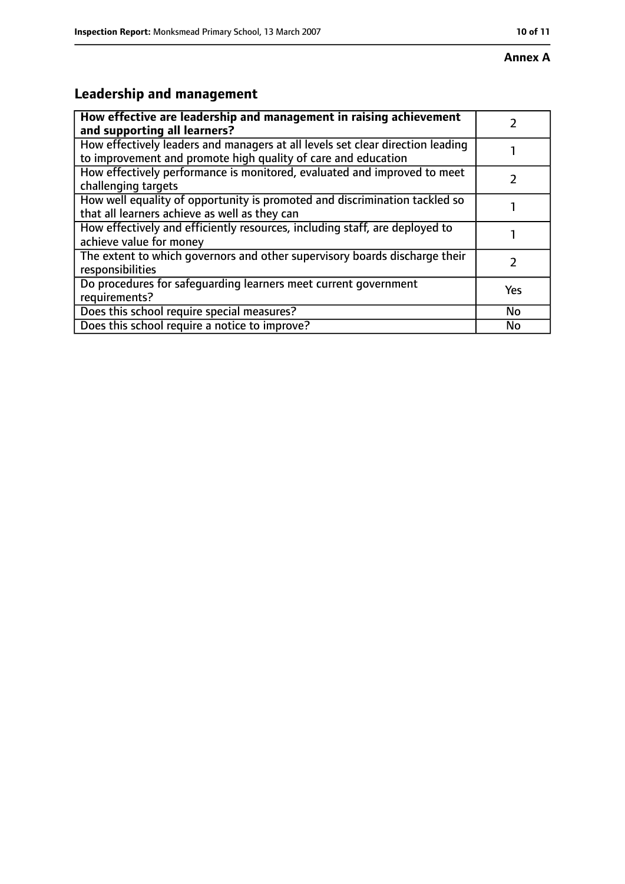# **Leadership and management**

| How effective are leadership and management in raising achievement<br>and supporting all learners?                                              |           |
|-------------------------------------------------------------------------------------------------------------------------------------------------|-----------|
| How effectively leaders and managers at all levels set clear direction leading<br>to improvement and promote high quality of care and education |           |
| How effectively performance is monitored, evaluated and improved to meet<br>challenging targets                                                 |           |
| How well equality of opportunity is promoted and discrimination tackled so<br>that all learners achieve as well as they can                     |           |
| How effectively and efficiently resources, including staff, are deployed to<br>achieve value for money                                          |           |
| The extent to which governors and other supervisory boards discharge their<br>responsibilities                                                  |           |
| Do procedures for safequarding learners meet current government<br>requirements?                                                                | Yes       |
| Does this school require special measures?                                                                                                      | <b>No</b> |
| Does this school require a notice to improve?                                                                                                   | No        |